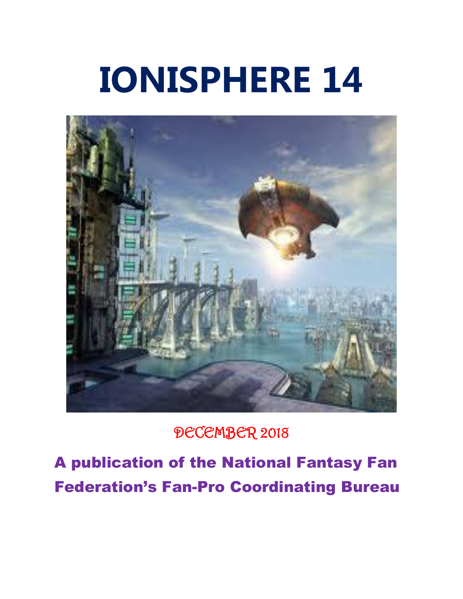# **IONISPHERE 14**



DECEMBER 2018

A publication of the National Fantasy Fan Federation's Fan-Pro Coordinating Bureau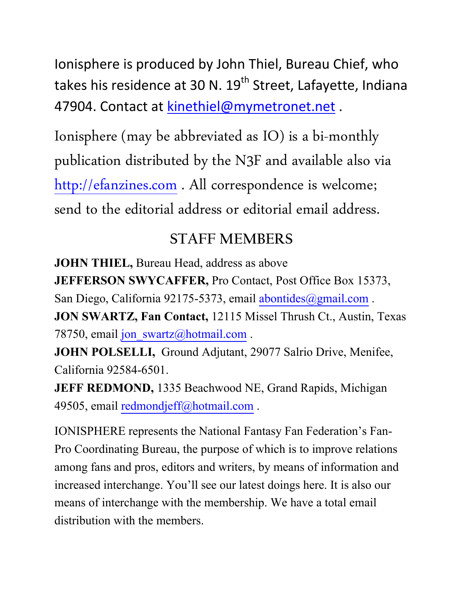Ionisphere is produced by John Thiel, Bureau Chief, who takes his residence at 30 N. 19<sup>th</sup> Street, Lafayette, Indiana 47904. Contact at [kinethiel@mymetronet.net](mailto:kinethiel@mymetronet.net).

Ionisphere (may be abbreviated as IO) is a bi-monthly publication distributed by the N3F and available also via [http://efanzines.com](http://efanzines.com/) . All correspondence is welcome; send to the editorial address or editorial email address.

## **STAFF MEMBERS**

**JOHN THIEL,** Bureau Head, address as above **JEFFERSON SWYCAFFER,** Pro Contact, Post Office Box 15373, San Diego, California 92175-5373, email [abontides@gmail.com](mailto:abontides@gmail.com). **JON SWARTZ, Fan Contact,** 12115 Missel Thrush Ct., Austin, Texas 78750, email [jon\\_swartz@hotmail.com](mailto:jon_swartz@hotmail.com) .

**JOHN POLSELLI,** Ground Adjutant, 29077 Salrio Drive, Menifee, California 92584-6501.

**JEFF REDMOND, 1335 Beachwood NE, Grand Rapids, Michigan** 49505, email [redmondjeff@hotmail.com](mailto:redmondjeff@hotmail.com) .

IONISPHERE represents the National Fantasy Fan Federation's Fan-Pro Coordinating Bureau, the purpose of which is to improve relations among fans and pros, editors and writers, by means of information and increased interchange. You'll see our latest doings here. It is also our means of interchange with the membership. We have a total email distribution with the members.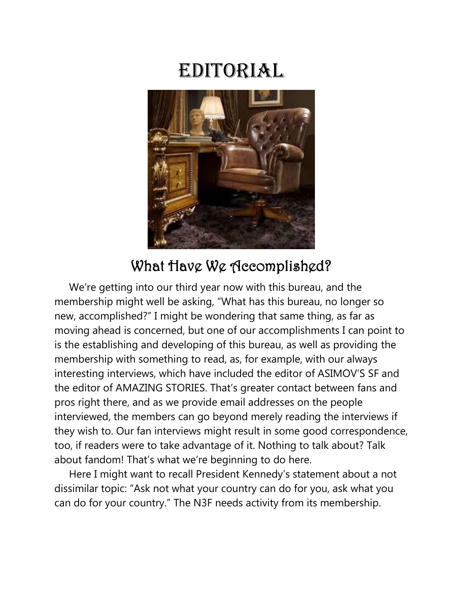# Editorial



## What Have We Accomplished?

 We're getting into our third year now with this bureau, and the membership might well be asking, "What has this bureau, no longer so new, accomplished?" I might be wondering that same thing, as far as moving ahead is concerned, but one of our accomplishments I can point to is the establishing and developing of this bureau, as well as providing the membership with something to read, as, for example, with our always interesting interviews, which have included the editor of ASIMOV'S SF and the editor of AMAZING STORIES. That's greater contact between fans and pros right there, and as we provide email addresses on the people interviewed, the members can go beyond merely reading the interviews if they wish to. Our fan interviews might result in some good correspondence, too, if readers were to take advantage of it. Nothing to talk about? Talk about fandom! That's what we're beginning to do here.

 Here I might want to recall President Kennedy's statement about a not dissimilar topic: "Ask not what your country can do for you, ask what you can do for your country." The N3F needs activity from its membership.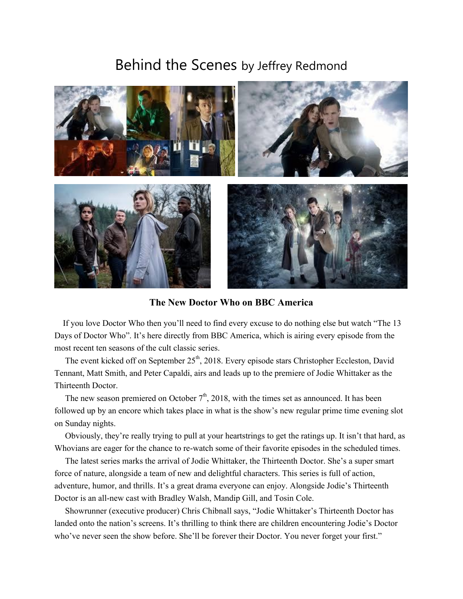#### Behind the Scenes by Jeffrey Redmond



**The New Doctor Who on BBC America**

 If you love Doctor Who then you'll need to find every excuse to do nothing else but watch "The 13 Days of Doctor Who". It's here directly from BBC America, which is airing every episode from the most recent ten seasons of the cult classic series.

The event kicked off on September  $25<sup>th</sup>$ , 2018. Every episode stars Christopher Eccleston, David Tennant, Matt Smith, and Peter Capaldi, airs and leads up to the premiere of Jodie Whittaker as the Thirteenth Doctor.

The new season premiered on October  $7<sup>th</sup>$ , 2018, with the times set as announced. It has been followed up by an encore which takes place in what is the show's new regular prime time evening slot on Sunday nights.

 Obviously, they're really trying to pull at your heartstrings to get the ratings up. It isn't that hard, as Whovians are eager for the chance to re-watch some of their favorite episodes in the scheduled times.

 The latest series marks the arrival of Jodie Whittaker, the Thirteenth Doctor. She's a super smart force of nature, alongside a team of new and delightful characters. This series is full of action, adventure, humor, and thrills. It's a great drama everyone can enjoy. Alongside Jodie's Thirteenth Doctor is an all-new cast with Bradley Walsh, Mandip Gill, and Tosin Cole.

 Showrunner (executive producer) Chris Chibnall says, "Jodie Whittaker's Thirteenth Doctor has landed onto the nation's screens. It's thrilling to think there are children encountering Jodie's Doctor who've never seen the show before. She'll be forever their Doctor. You never forget your first."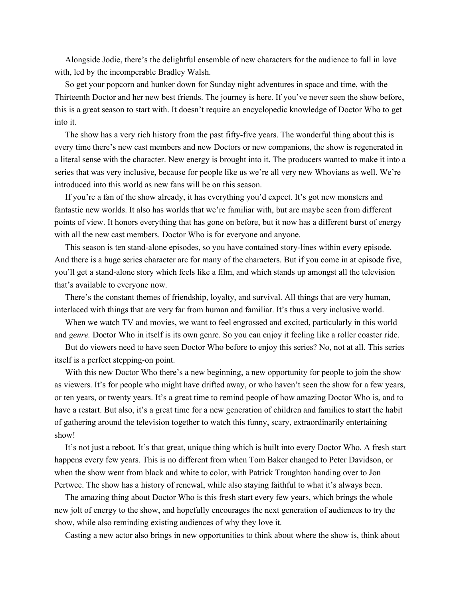Alongside Jodie, there's the delightful ensemble of new characters for the audience to fall in love with, led by the incomperable Bradley Walsh.

 So get your popcorn and hunker down for Sunday night adventures in space and time, with the Thirteenth Doctor and her new best friends. The journey is here. If you've never seen the show before, this is a great season to start with. It doesn't require an encyclopedic knowledge of Doctor Who to get into it.

 The show has a very rich history from the past fifty-five years. The wonderful thing about this is every time there's new cast members and new Doctors or new companions, the show is regenerated in a literal sense with the character. New energy is brought into it. The producers wanted to make it into a series that was very inclusive, because for people like us we're all very new Whovians as well. We're introduced into this world as new fans will be on this season.

 If you're a fan of the show already, it has everything you'd expect. It's got new monsters and fantastic new worlds. It also has worlds that we're familiar with, but are maybe seen from different points of view. It honors everything that has gone on before, but it now has a different burst of energy with all the new cast members. Doctor Who is for everyone and anyone.

 This season is ten stand-alone episodes, so you have contained story-lines within every episode. And there is a huge series character arc for many of the characters. But if you come in at episode five, you'll get a stand-alone story which feels like a film, and which stands up amongst all the television that's available to everyone now.

 There's the constant themes of friendship, loyalty, and survival. All things that are very human, interlaced with things that are very far from human and familiar. It's thus a very inclusive world.

 When we watch TV and movies, we want to feel engrossed and excited, particularly in this world and *genre.* Doctor Who in itself is its own genre. So you can enjoy it feeling like a roller coaster ride.

 But do viewers need to have seen Doctor Who before to enjoy this series? No, not at all. This series itself is a perfect stepping-on point.

With this new Doctor Who there's a new beginning, a new opportunity for people to join the show as viewers. It's for people who might have drifted away, or who haven't seen the show for a few years, or ten years, or twenty years. It's a great time to remind people of how amazing Doctor Who is, and to have a restart. But also, it's a great time for a new generation of children and families to start the habit of gathering around the television together to watch this funny, scary, extraordinarily entertaining show!

 It's not just a reboot. It's that great, unique thing which is built into every Doctor Who. A fresh start happens every few years. This is no different from when Tom Baker changed to Peter Davidson, or when the show went from black and white to color, with Patrick Troughton handing over to Jon Pertwee. The show has a history of renewal, while also staying faithful to what it's always been.

 The amazing thing about Doctor Who is this fresh start every few years, which brings the whole new jolt of energy to the show, and hopefully encourages the next generation of audiences to try the show, while also reminding existing audiences of why they love it.

Casting a new actor also brings in new opportunities to think about where the show is, think about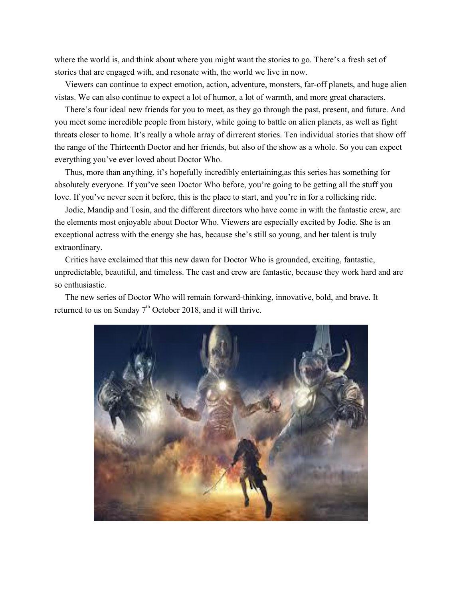where the world is, and think about where you might want the stories to go. There's a fresh set of stories that are engaged with, and resonate with, the world we live in now.

 Viewers can continue to expect emotion, action, adventure, monsters, far-off planets, and huge alien vistas. We can also continue to expect a lot of humor, a lot of warmth, and more great characters.

 There's four ideal new friends for you to meet, as they go through the past, present, and future. And you meet some incredible people from history, while going to battle on alien planets, as well as fight threats closer to home. It's really a whole array of dirrerent stories. Ten individual stories that show off the range of the Thirteenth Doctor and her friends, but also of the show as a whole. So you can expect everything you've ever loved about Doctor Who.

 Thus, more than anything, it's hopefully incredibly entertaining,as this series has something for absolutely everyone. If you've seen Doctor Who before, you're going to be getting all the stuff you love. If you've never seen it before, this is the place to start, and you're in for a rollicking ride.

 Jodie, Mandip and Tosin, and the different directors who have come in with the fantastic crew, are the elements most enjoyable about Doctor Who. Viewers are especially excited by Jodie. She is an exceptional actress with the energy she has, because she's still so young, and her talent is truly extraordinary.

 Critics have exclaimed that this new dawn for Doctor Who is grounded, exciting, fantastic, unpredictable, beautiful, and timeless. The cast and crew are fantastic, because they work hard and are so enthusiastic.

 The new series of Doctor Who will remain forward-thinking, innovative, bold, and brave. It returned to us on Sunday  $7<sup>th</sup>$  October 2018, and it will thrive.

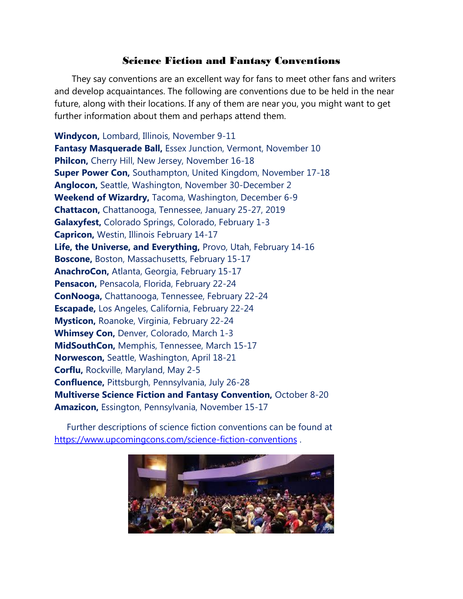#### Science Fiction and Fantasy Conventions

 They say conventions are an excellent way for fans to meet other fans and writers and develop acquaintances. The following are conventions due to be held in the near future, along with their locations. If any of them are near you, you might want to get further information about them and perhaps attend them.

**Windycon,** Lombard, Illinois, November 9-11 **Fantasy Masquerade Ball,** Essex Junction, Vermont, November 10 **Philcon,** Cherry Hill, New Jersey, November 16-18 **Super Power Con,** Southampton, United Kingdom, November 17-18 **Anglocon,** Seattle, Washington, November 30-December 2 **Weekend of Wizardry,** Tacoma, Washington, December 6-9 **Chattacon,** Chattanooga, Tennessee, January 25-27, 2019 **Galaxyfest,** Colorado Springs, Colorado, February 1-3 **Capricon,** Westin, Illinois February 14-17 **Life, the Universe, and Everything,** Provo, Utah, February 14-16 **Boscone,** Boston, Massachusetts, February 15-17 **AnachroCon,** Atlanta, Georgia, February 15-17 **Pensacon,** Pensacola, Florida, February 22-24 **ConNooga,** Chattanooga, Tennessee, February 22-24 **Escapade,** Los Angeles, California, February 22-24 **Mysticon,** Roanoke, Virginia, February 22-24 **Whimsey Con,** Denver, Colorado, March 1-3 **MidSouthCon,** Memphis, Tennessee, March 15-17 **Norwescon,** Seattle, Washington, April 18-21 **Corflu,** Rockville, Maryland, May 2-5 **Confluence,** Pittsburgh, Pennsylvania, July 26-28 **Multiverse Science Fiction and Fantasy Convention,** October 8-20 **Amazicon,** Essington, Pennsylvania, November 15-17

 Further descriptions of science fiction conventions can be found at <https://www.upcomingcons.com/science-fiction-conventions> .

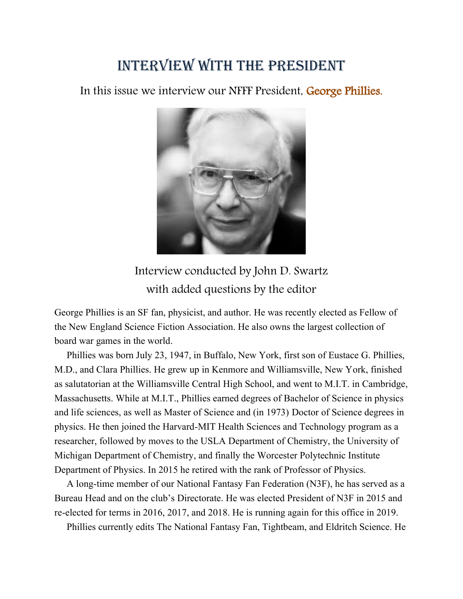## Interview with the president

In this issue we interview our NFFF President, George Phillies.



## Interview conducted by John D. Swartz with added questions by the editor

George Phillies is an SF fan, physicist, and author. He was recently elected as Fellow of the New England Science Fiction Association. He also owns the largest collection of board war games in the world.

 Phillies was born July 23, 1947, in Buffalo, New York, first son of Eustace G. Phillies, M.D., and Clara Phillies. He grew up in Kenmore and Williamsville, New York, finished as salutatorian at the Williamsville Central High School, and went to M.I.T. in Cambridge, Massachusetts. While at M.I.T., Phillies earned degrees of Bachelor of Science in physics and life sciences, as well as Master of Science and (in 1973) Doctor of Science degrees in physics. He then joined the Harvard-MIT Health Sciences and Technology program as a researcher, followed by moves to the USLA Department of Chemistry, the University of Michigan Department of Chemistry, and finally the Worcester Polytechnic Institute Department of Physics. In 2015 he retired with the rank of Professor of Physics.

 A long-time member of our National Fantasy Fan Federation (N3F), he has served as a Bureau Head and on the club's Directorate. He was elected President of N3F in 2015 and re-elected for terms in 2016, 2017, and 2018. He is running again for this office in 2019.

Phillies currently edits The National Fantasy Fan, Tightbeam, and Eldritch Science. He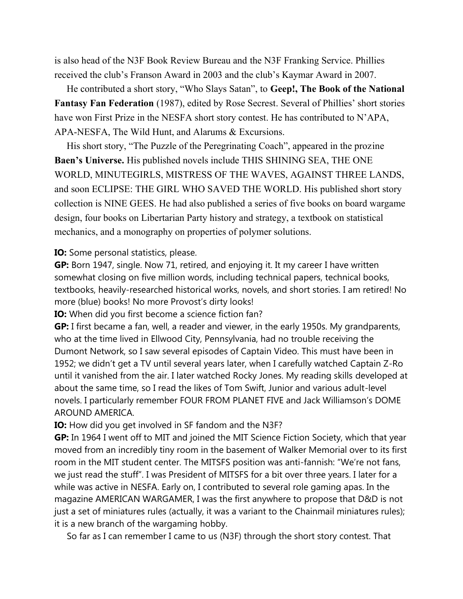is also head of the N3F Book Review Bureau and the N3F Franking Service. Phillies received the club's Franson Award in 2003 and the club's Kaymar Award in 2007.

 He contributed a short story, "Who Slays Satan", to **Geep!, The Book of the National Fantasy Fan Federation** (1987), edited by Rose Secrest. Several of Phillies' short stories have won First Prize in the NESFA short story contest. He has contributed to N'APA, APA-NESFA, The Wild Hunt, and Alarums & Excursions.

 His short story, "The Puzzle of the Peregrinating Coach", appeared in the prozine **Baen's Universe.** His published novels include THIS SHINING SEA, THE ONE WORLD, MINUTEGIRLS, MISTRESS OF THE WAVES, AGAINST THREE LANDS, and soon ECLIPSE: THE GIRL WHO SAVED THE WORLD. His published short story collection is NINE GEES. He had also published a series of five books on board wargame design, four books on Libertarian Party history and strategy, a textbook on statistical mechanics, and a monography on properties of polymer solutions.

#### **IO:** Some personal statistics, please.

**GP:** Born 1947, single. Now 71, retired, and enjoying it. It my career I have written somewhat closing on five million words, including technical papers, technical books, textbooks, heavily-researched historical works, novels, and short stories. I am retired! No more (blue) books! No more Provost's dirty looks!

**IO:** When did you first become a science fiction fan?

**GP:** I first became a fan, well, a reader and viewer, in the early 1950s. My grandparents, who at the time lived in Ellwood City, Pennsylvania, had no trouble receiving the Dumont Network, so I saw several episodes of Captain Video. This must have been in 1952; we didn't get a TV until several years later, when I carefully watched Captain Z-Ro until it vanished from the air. I later watched Rocky Jones. My reading skills developed at about the same time, so I read the likes of Tom Swift, Junior and various adult-level novels. I particularly remember FOUR FROM PLANET FIVE and Jack Williamson's DOME AROUND AMERICA.

**IO:** How did you get involved in SF fandom and the N3F?

**GP:** In 1964 I went off to MIT and joined the MIT Science Fiction Society, which that year moved from an incredibly tiny room in the basement of Walker Memorial over to its first room in the MIT student center. The MITSFS position was anti-fannish: "We're not fans, we just read the stuff". I was President of MITSFS for a bit over three years. I later for a while was active in NESFA. Early on, I contributed to several role gaming apas. In the magazine AMERICAN WARGAMER, I was the first anywhere to propose that D&D is not just a set of miniatures rules (actually, it was a variant to the Chainmail miniatures rules); it is a new branch of the wargaming hobby.

So far as I can remember I came to us (N3F) through the short story contest. That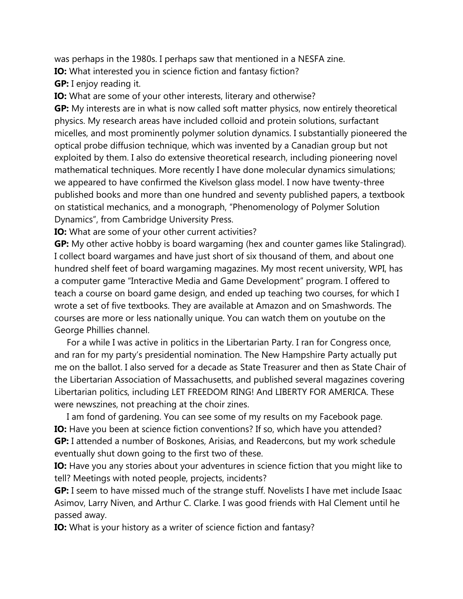was perhaps in the 1980s. I perhaps saw that mentioned in a NESFA zine.

**IO:** What interested you in science fiction and fantasy fiction?

**GP:** I enjoy reading it.

**IO:** What are some of your other interests, literary and otherwise?

**GP:** My interests are in what is now called soft matter physics, now entirely theoretical physics. My research areas have included colloid and protein solutions, surfactant micelles, and most prominently polymer solution dynamics. I substantially pioneered the optical probe diffusion technique, which was invented by a Canadian group but not exploited by them. I also do extensive theoretical research, including pioneering novel mathematical techniques. More recently I have done molecular dynamics simulations; we appeared to have confirmed the Kivelson glass model. I now have twenty-three published books and more than one hundred and seventy published papers, a textbook on statistical mechanics, and a monograph, "Phenomenology of Polymer Solution Dynamics", from Cambridge University Press.

**IO:** What are some of your other current activities?

**GP:** My other active hobby is board wargaming (hex and counter games like Stalingrad). I collect board wargames and have just short of six thousand of them, and about one hundred shelf feet of board wargaming magazines. My most recent university, WPI, has a computer game "Interactive Media and Game Development" program. I offered to teach a course on board game design, and ended up teaching two courses, for which I wrote a set of five textbooks. They are available at Amazon and on Smashwords. The courses are more or less nationally unique. You can watch them on youtube on the George Phillies channel.

 For a while I was active in politics in the Libertarian Party. I ran for Congress once, and ran for my party's presidential nomination. The New Hampshire Party actually put me on the ballot. I also served for a decade as State Treasurer and then as State Chair of the Libertarian Association of Massachusetts, and published several magazines covering Libertarian politics, including LET FREEDOM RING! And LIBERTY FOR AMERICA. These were newszines, not preaching at the choir zines.

 I am fond of gardening. You can see some of my results on my Facebook page. **IO:** Have you been at science fiction conventions? If so, which have you attended? **GP:** I attended a number of Boskones, Arisias, and Readercons, but my work schedule eventually shut down going to the first two of these.

**IO:** Have you any stories about your adventures in science fiction that you might like to tell? Meetings with noted people, projects, incidents?

**GP:** I seem to have missed much of the strange stuff. Novelists I have met include Isaac Asimov, Larry Niven, and Arthur C. Clarke. I was good friends with Hal Clement until he passed away.

**IO:** What is your history as a writer of science fiction and fantasy?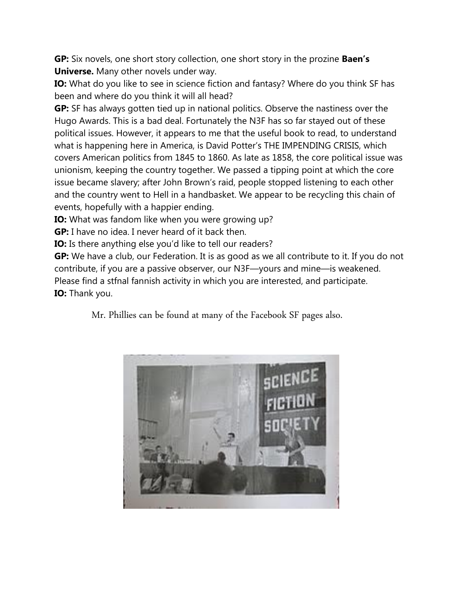**GP:** Six novels, one short story collection, one short story in the prozine **Baen's Universe.** Many other novels under way.

**IO:** What do you like to see in science fiction and fantasy? Where do you think SF has been and where do you think it will all head?

**GP:** SF has always gotten tied up in national politics. Observe the nastiness over the Hugo Awards. This is a bad deal. Fortunately the N3F has so far stayed out of these political issues. However, it appears to me that the useful book to read, to understand what is happening here in America, is David Potter's THE IMPENDING CRISIS, which covers American politics from 1845 to 1860. As late as 1858, the core political issue was unionism, keeping the country together. We passed a tipping point at which the core issue became slavery; after John Brown's raid, people stopped listening to each other and the country went to Hell in a handbasket. We appear to be recycling this chain of events, hopefully with a happier ending.

**IO:** What was fandom like when you were growing up?

**GP:** I have no idea. I never heard of it back then.

**IO:** Is there anything else you'd like to tell our readers?

**GP:** We have a club, our Federation. It is as good as we all contribute to it. If you do not contribute, if you are a passive observer, our N3F—yours and mine—is weakened. Please find a stfnal fannish activity in which you are interested, and participate. **IO:** Thank you.

Mr. Phillies can be found at many of the Facebook SF pages also.

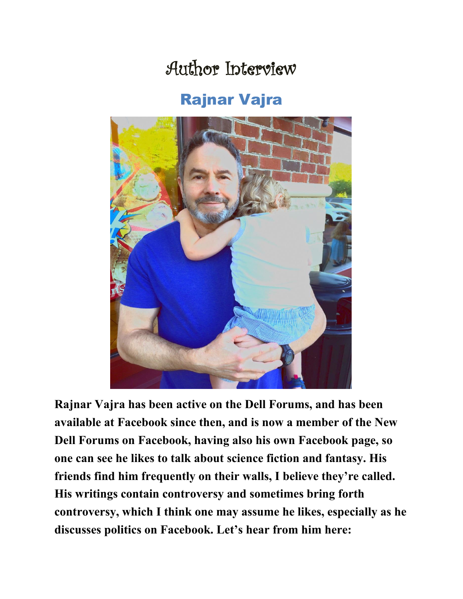# Author Interview

## Rajnar Vajra



**Rajnar Vajra has been active on the Dell Forums, and has been available at Facebook since then, and is now a member of the New Dell Forums on Facebook, having also his own Facebook page, so one can see he likes to talk about science fiction and fantasy. His friends find him frequently on their walls, I believe they're called. His writings contain controversy and sometimes bring forth controversy, which I think one may assume he likes, especially as he discusses politics on Facebook. Let's hear from him here:**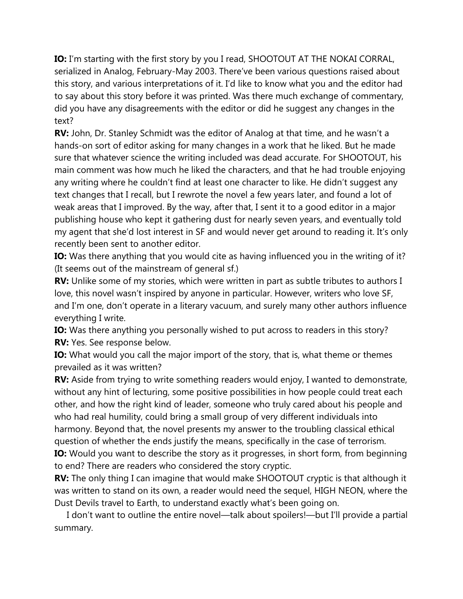**IO:** I'm starting with the first story by you I read, SHOOTOUT AT THE NOKAI CORRAL, serialized in Analog, February-May 2003. There've been various questions raised about this story, and various interpretations of it. I'd like to know what you and the editor had to say about this story before it was printed. Was there much exchange of commentary, did you have any disagreements with the editor or did he suggest any changes in the text?

**RV:** John, Dr. Stanley Schmidt was the editor of Analog at that time, and he wasn't a hands-on sort of editor asking for many changes in a work that he liked. But he made sure that whatever science the writing included was dead accurate. For SHOOTOUT, his main comment was how much he liked the characters, and that he had trouble enjoying any writing where he couldn't find at least one character to like. He didn't suggest any text changes that I recall, but I rewrote the novel a few years later, and found a lot of weak areas that I improved. By the way, after that, I sent it to a good editor in a major publishing house who kept it gathering dust for nearly seven years, and eventually told my agent that she'd lost interest in SF and would never get around to reading it. It's only recently been sent to another editor.

**IO:** Was there anything that you would cite as having influenced you in the writing of it? (It seems out of the mainstream of general sf.)

**RV:** Unlike some of my stories, which were written in part as subtle tributes to authors I love, this novel wasn't inspired by anyone in particular. However, writers who love SF, and I'm one, don't operate in a literary vacuum, and surely many other authors influence everything I write.

**IO:** Was there anything you personally wished to put across to readers in this story? **RV:** Yes. See response below.

**IO:** What would you call the major import of the story, that is, what theme or themes prevailed as it was written?

**RV:** Aside from trying to write something readers would enjoy, I wanted to demonstrate, without any hint of lecturing, some positive possibilities in how people could treat each other, and how the right kind of leader, someone who truly cared about his people and who had real humility, could bring a small group of very different individuals into harmony. Beyond that, the novel presents my answer to the troubling classical ethical question of whether the ends justify the means, specifically in the case of terrorism.

**IO:** Would you want to describe the story as it progresses, in short form, from beginning to end? There are readers who considered the story cryptic.

**RV:** The only thing I can imagine that would make SHOOTOUT cryptic is that although it was written to stand on its own, a reader would need the sequel, HIGH NEON, where the Dust Devils travel to Earth, to understand exactly what's been going on.

 I don't want to outline the entire novel—talk about spoilers!—but I'll provide a partial summary.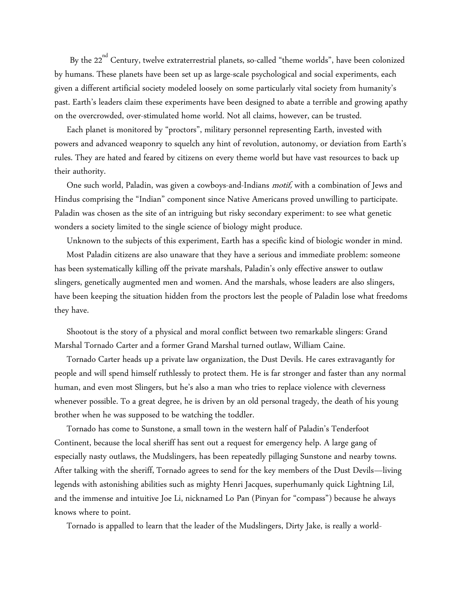By the 22<sup>nd</sup> Century, twelve extraterrestrial planets, so-called "theme worlds", have been colonized by humans. These planets have been set up as large-scale psychological and social experiments, each given a different artificial society modeled loosely on some particularly vital society from humanity's past. Earth's leaders claim these experiments have been designed to abate a terrible and growing apathy on the overcrowded, over-stimulated home world. Not all claims, however, can be trusted.

 Each planet is monitored by "proctors", military personnel representing Earth, invested with powers and advanced weaponry to squelch any hint of revolution, autonomy, or deviation from Earth's rules. They are hated and feared by citizens on every theme world but have vast resources to back up their authority.

One such world, Paladin, was given a cowboys-and-Indians *motif*, with a combination of Jews and Hindus comprising the "Indian" component since Native Americans proved unwilling to participate. Paladin was chosen as the site of an intriguing but risky secondary experiment: to see what genetic wonders a society limited to the single science of biology might produce.

Unknown to the subjects of this experiment, Earth has a specific kind of biologic wonder in mind.

 Most Paladin citizens are also unaware that they have a serious and immediate problem: someone has been systematically killing off the private marshals, Paladin's only effective answer to outlaw slingers, genetically augmented men and women. And the marshals, whose leaders are also slingers, have been keeping the situation hidden from the proctors lest the people of Paladin lose what freedoms they have.

 Shootout is the story of a physical and moral conflict between two remarkable slingers: Grand Marshal Tornado Carter and a former Grand Marshal turned outlaw, William Caine.

 Tornado Carter heads up a private law organization, the Dust Devils. He cares extravagantly for people and will spend himself ruthlessly to protect them. He is far stronger and faster than any normal human, and even most Slingers, but he's also a man who tries to replace violence with cleverness whenever possible. To a great degree, he is driven by an old personal tragedy, the death of his young brother when he was supposed to be watching the toddler.

 Tornado has come to Sunstone, a small town in the western half of Paladin's Tenderfoot Continent, because the local sheriff has sent out a request for emergency help. A large gang of especially nasty outlaws, the Mudslingers, has been repeatedly pillaging Sunstone and nearby towns. After talking with the sheriff, Tornado agrees to send for the key members of the Dust Devils—living legends with astonishing abilities such as mighty Henri Jacques, superhumanly quick Lightning Lil, and the immense and intuitive Joe Li, nicknamed Lo Pan (Pinyan for "compass") because he always knows where to point.

Tornado is appalled to learn that the leader of the Mudslingers, Dirty Jake, is really a world-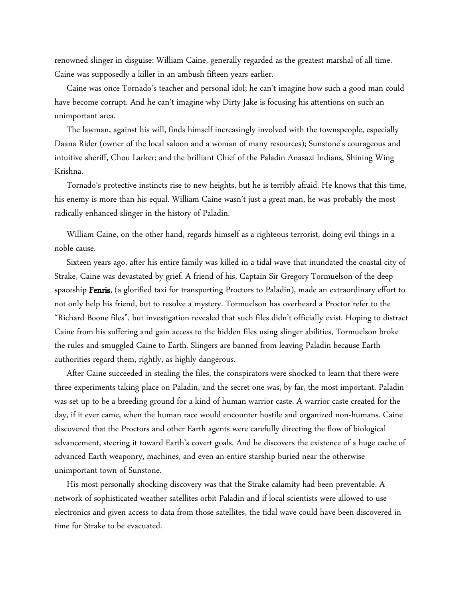renowned slinger in disguise: William Caine, generally regarded as the greatest marshal of all time. Caine was supposedly a killer in an ambush fifteen years earlier.

 Caine was once Tornado's teacher and personal idol; he can't imagine how such a good man could have become corrupt. And he can't imagine why Dirty Jake is focusing his attentions on such an unimportant area.

 The lawman, against his will, finds himself increasingly involved with the townspeople, especially Daana Rider (owner of the local saloon and a woman of many resources); Sunstone's courageous and intuitive sheriff, Chou Larker; and the brilliant Chief of the Paladin Anasazi Indians, Shining Wing Krishna.

 Tornado's protective instincts rise to new heights, but he is terribly afraid. He knows that this time, his enemy is more than his equal. William Caine wasn't just a great man, he was probably the most radically enhanced slinger in the history of Paladin.

 William Caine, on the other hand, regards himself as a righteous terrorist, doing evil things in a noble cause.

 Sixteen years ago, after his entire family was killed in a tidal wave that inundated the coastal city of Strake, Caine was devastated by grief. A friend of his, Captain Sir Gregory Tormuelson of the deepspaceship Fenris, (a glorified taxi for transporting Proctors to Paladin), made an extraordinary effort to not only help his friend, but to resolve a mystery. Tormuelson has overheard a Proctor refer to the "Richard Boone files", but investigation revealed that such files didn't officially exist. Hoping to distract Caine from his suffering and gain access to the hidden files using slinger abilities, Tormuelson broke the rules and smuggled Caine to Earth. Slingers are banned from leaving Paladin because Earth authorities regard them, rightly, as highly dangerous.

 After Caine succeeded in stealing the files, the conspirators were shocked to learn that there were three experiments taking place on Paladin, and the secret one was, by far, the most important. Paladin was set up to be a breeding ground for a kind of human warrior caste. A warrior caste created for the day, if it ever came, when the human race would encounter hostile and organized non-humans. Caine discovered that the Proctors and other Earth agents were carefully directing the flow of biological advancement, steering it toward Earth's covert goals. And he discovers the existence of a huge cache of advanced Earth weaponry, machines, and even an entire starship buried near the otherwise unimportant town of Sunstone.

 His most personally shocking discovery was that the Strake calamity had been preventable. A network of sophisticated weather satellites orbit Paladin and if local scientists were allowed to use electronics and given access to data from those satellites, the tidal wave could have been discovered in time for Strake to be evacuated.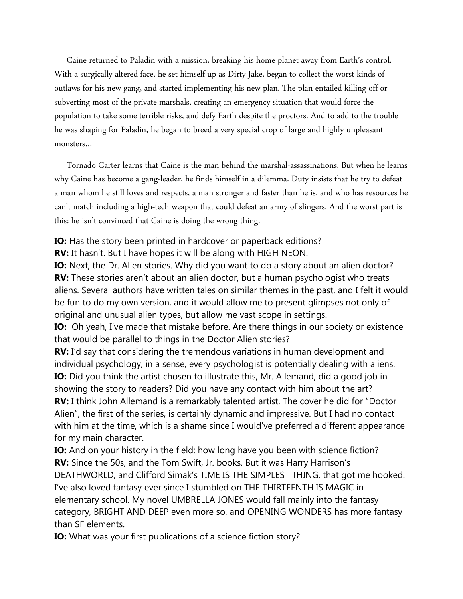Caine returned to Paladin with a mission, breaking his home planet away from Earth's control. With a surgically altered face, he set himself up as Dirty Jake, began to collect the worst kinds of outlaws for his new gang, and started implementing his new plan. The plan entailed killing off or subverting most of the private marshals, creating an emergency situation that would force the population to take some terrible risks, and defy Earth despite the proctors. And to add to the trouble he was shaping for Paladin, he began to breed a very special crop of large and highly unpleasant monsters…

 Tornado Carter learns that Caine is the man behind the marshal-assassinations. But when he learns why Caine has become a gang-leader, he finds himself in a dilemma. Duty insists that he try to defeat a man whom he still loves and respects, a man stronger and faster than he is, and who has resources he can't match including a high-tech weapon that could defeat an army of slingers. And the worst part is this: he isn't convinced that Caine is doing the wrong thing.

**IO:** Has the story been printed in hardcover or paperback editions?

**RV:** It hasn't. But I have hopes it will be along with HIGH NEON.

**IO:** Next, the Dr. Alien stories. Why did you want to do a story about an alien doctor? **RV:** These stories aren't about an alien doctor, but a human psychologist who treats aliens. Several authors have written tales on similar themes in the past, and I felt it would be fun to do my own version, and it would allow me to present glimpses not only of original and unusual alien types, but allow me vast scope in settings.

**IO:** Oh yeah, I've made that mistake before. Are there things in our society or existence that would be parallel to things in the Doctor Alien stories?

**RV:** I'd say that considering the tremendous variations in human development and individual psychology, in a sense, every psychologist is potentially dealing with aliens. **IO:** Did you think the artist chosen to illustrate this, Mr. Allemand, did a good job in showing the story to readers? Did you have any contact with him about the art? **RV:** I think John Allemand is a remarkably talented artist. The cover he did for "Doctor Alien", the first of the series, is certainly dynamic and impressive. But I had no contact with him at the time, which is a shame since I would've preferred a different appearance for my main character.

**IO:** And on your history in the field: how long have you been with science fiction? **RV:** Since the 50s, and the Tom Swift, Jr. books. But it was Harry Harrison's DEATHWORLD, and Clifford Simak's TIME IS THE SIMPLEST THING, that got me hooked. I've also loved fantasy ever since I stumbled on THE THIRTEENTH IS MAGIC in elementary school. My novel UMBRELLA JONES would fall mainly into the fantasy category, BRIGHT AND DEEP even more so, and OPENING WONDERS has more fantasy than SF elements.

**IO:** What was your first publications of a science fiction story?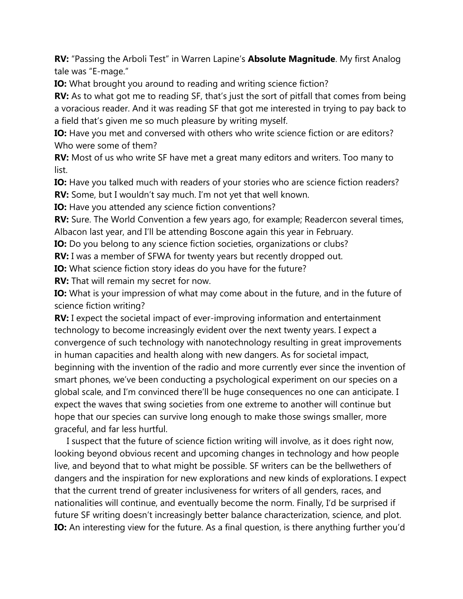**RV:** "Passing the Arboli Test" in Warren Lapine's **Absolute Magnitude**. My first Analog tale was "E-mage."

**IO:** What brought you around to reading and writing science fiction?

**RV:** As to what got me to reading SF, that's just the sort of pitfall that comes from being a voracious reader. And it was reading SF that got me interested in trying to pay back to a field that's given me so much pleasure by writing myself.

**IO:** Have you met and conversed with others who write science fiction or are editors? Who were some of them?

**RV:** Most of us who write SF have met a great many editors and writers. Too many to list.

**IO:** Have you talked much with readers of your stories who are science fiction readers? **RV:** Some, but I wouldn't say much. I'm not yet that well known.

**IO:** Have you attended any science fiction conventions?

**RV:** Sure. The World Convention a few years ago, for example; Readercon several times, Albacon last year, and I'll be attending Boscone again this year in February.

**IO:** Do you belong to any science fiction societies, organizations or clubs?

**RV:** I was a member of SFWA for twenty years but recently dropped out.

**IO:** What science fiction story ideas do you have for the future?

**RV:** That will remain my secret for now.

**IO:** What is your impression of what may come about in the future, and in the future of science fiction writing?

**RV:** I expect the societal impact of ever-improving information and entertainment technology to become increasingly evident over the next twenty years. I expect a convergence of such technology with nanotechnology resulting in great improvements in human capacities and health along with new dangers. As for societal impact, beginning with the invention of the radio and more currently ever since the invention of smart phones, we've been conducting a psychological experiment on our species on a global scale, and I'm convinced there'll be huge consequences no one can anticipate. I expect the waves that swing societies from one extreme to another will continue but hope that our species can survive long enough to make those swings smaller, more graceful, and far less hurtful.

 I suspect that the future of science fiction writing will involve, as it does right now, looking beyond obvious recent and upcoming changes in technology and how people live, and beyond that to what might be possible. SF writers can be the bellwethers of dangers and the inspiration for new explorations and new kinds of explorations. I expect that the current trend of greater inclusiveness for writers of all genders, races, and nationalities will continue, and eventually become the norm. Finally, I'd be surprised if future SF writing doesn't increasingly better balance characterization, science, and plot. **IO:** An interesting view for the future. As a final question, is there anything further you'd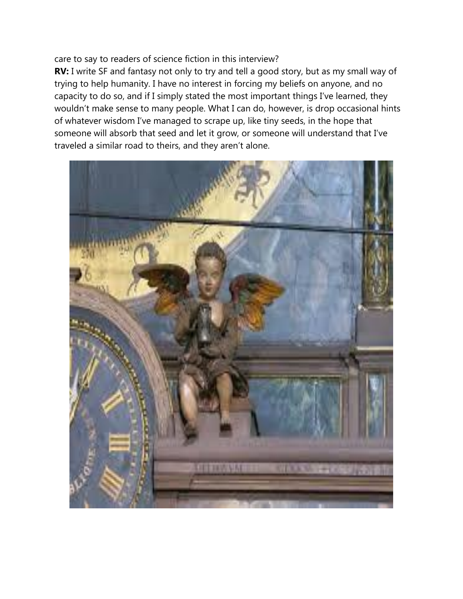#### care to say to readers of science fiction in this interview?

**RV:** I write SF and fantasy not only to try and tell a good story, but as my small way of trying to help humanity. I have no interest in forcing my beliefs on anyone, and no capacity to do so, and if I simply stated the most important things I've learned, they wouldn't make sense to many people. What I can do, however, is drop occasional hints of whatever wisdom I've managed to scrape up, like tiny seeds, in the hope that someone will absorb that seed and let it grow, or someone will understand that I've traveled a similar road to theirs, and they aren't alone.

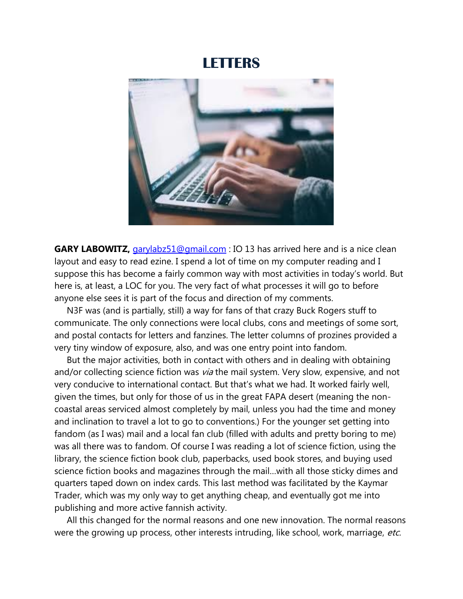### **LETTERS**



**GARY LABOWITZ,** [garylabz51@gmail.com](mailto:garylabz51@gmail.com) : IO 13 has arrived here and is a nice clean layout and easy to read ezine. I spend a lot of time on my computer reading and I suppose this has become a fairly common way with most activities in today's world. But here is, at least, a LOC for you. The very fact of what processes it will go to before anyone else sees it is part of the focus and direction of my comments.

 N3F was (and is partially, still) a way for fans of that crazy Buck Rogers stuff to communicate. The only connections were local clubs, cons and meetings of some sort, and postal contacts for letters and fanzines. The letter columns of prozines provided a very tiny window of exposure, also, and was one entry point into fandom.

 But the major activities, both in contact with others and in dealing with obtaining and/or collecting science fiction was via the mail system. Very slow, expensive, and not very conducive to international contact. But that's what we had. It worked fairly well, given the times, but only for those of us in the great FAPA desert (meaning the noncoastal areas serviced almost completely by mail, unless you had the time and money and inclination to travel a lot to go to conventions.) For the younger set getting into fandom (as I was) mail and a local fan club (filled with adults and pretty boring to me) was all there was to fandom. Of course I was reading a lot of science fiction, using the library, the science fiction book club, paperbacks, used book stores, and buying used science fiction books and magazines through the mail…with all those sticky dimes and quarters taped down on index cards. This last method was facilitated by the Kaymar Trader, which was my only way to get anything cheap, and eventually got me into publishing and more active fannish activity.

 All this changed for the normal reasons and one new innovation. The normal reasons were the growing up process, other interests intruding, like school, work, marriage, etc.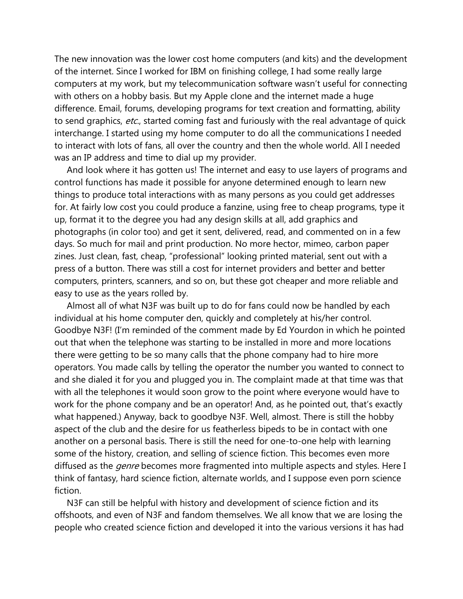The new innovation was the lower cost home computers (and kits) and the development of the internet. Since I worked for IBM on finishing college, I had some really large computers at my work, but my telecommunication software wasn't useful for connecting with others on a hobby basis. But my Apple clone and the internet made a huge difference. Email, forums, developing programs for text creation and formatting, ability to send graphics, etc., started coming fast and furiously with the real advantage of quick interchange. I started using my home computer to do all the communications I needed to interact with lots of fans, all over the country and then the whole world. All I needed was an IP address and time to dial up my provider.

 And look where it has gotten us! The internet and easy to use layers of programs and control functions has made it possible for anyone determined enough to learn new things to produce total interactions with as many persons as you could get addresses for. At fairly low cost you could produce a fanzine, using free to cheap programs, type it up, format it to the degree you had any design skills at all, add graphics and photographs (in color too) and get it sent, delivered, read, and commented on in a few days. So much for mail and print production. No more hector, mimeo, carbon paper zines. Just clean, fast, cheap, "professional" looking printed material, sent out with a press of a button. There was still a cost for internet providers and better and better computers, printers, scanners, and so on, but these got cheaper and more reliable and easy to use as the years rolled by.

 Almost all of what N3F was built up to do for fans could now be handled by each individual at his home computer den, quickly and completely at his/her control. Goodbye N3F! (I'm reminded of the comment made by Ed Yourdon in which he pointed out that when the telephone was starting to be installed in more and more locations there were getting to be so many calls that the phone company had to hire more operators. You made calls by telling the operator the number you wanted to connect to and she dialed it for you and plugged you in. The complaint made at that time was that with all the telephones it would soon grow to the point where everyone would have to work for the phone company and be an operator! And, as he pointed out, that's exactly what happened.) Anyway, back to goodbye N3F. Well, almost. There is still the hobby aspect of the club and the desire for us featherless bipeds to be in contact with one another on a personal basis. There is still the need for one-to-one help with learning some of the history, creation, and selling of science fiction. This becomes even more diffused as the *genre* becomes more fragmented into multiple aspects and styles. Here I think of fantasy, hard science fiction, alternate worlds, and I suppose even porn science fiction.

 N3F can still be helpful with history and development of science fiction and its offshoots, and even of N3F and fandom themselves. We all know that we are losing the people who created science fiction and developed it into the various versions it has had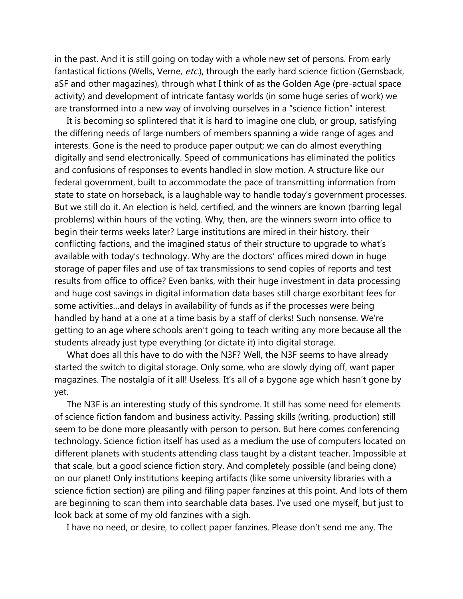in the past. And it is still going on today with a whole new set of persons. From early fantastical fictions (Wells, Verne, etc.), through the early hard science fiction (Gernsback, aSF and other magazines), through what I think of as the Golden Age (pre-actual space activity) and development of intricate fantasy worlds (in some huge series of work) we are transformed into a new way of involving ourselves in a "science fiction" interest.

 It is becoming so splintered that it is hard to imagine one club, or group, satisfying the differing needs of large numbers of members spanning a wide range of ages and interests. Gone is the need to produce paper output; we can do almost everything digitally and send electronically. Speed of communications has eliminated the politics and confusions of responses to events handled in slow motion. A structure like our federal government, built to accommodate the pace of transmitting information from state to state on horseback, is a laughable way to handle today's government processes. But we still do it. An election is held, certified, and the winners are known (barring legal problems) within hours of the voting. Why, then, are the winners sworn into office to begin their terms weeks later? Large institutions are mired in their history, their conflicting factions, and the imagined status of their structure to upgrade to what's available with today's technology. Why are the doctors' offices mired down in huge storage of paper files and use of tax transmissions to send copies of reports and test results from office to office? Even banks, with their huge investment in data processing and huge cost savings in digital information data bases still charge exorbitant fees for some activities…and delays in availability of funds as if the processes were being handled by hand at a one at a time basis by a staff of clerks! Such nonsense. We're getting to an age where schools aren't going to teach writing any more because all the students already just type everything (or dictate it) into digital storage.

 What does all this have to do with the N3F? Well, the N3F seems to have already started the switch to digital storage. Only some, who are slowly dying off, want paper magazines. The nostalgia of it all! Useless. It's all of a bygone age which hasn't gone by yet.

 The N3F is an interesting study of this syndrome. It still has some need for elements of science fiction fandom and business activity. Passing skills (writing, production) still seem to be done more pleasantly with person to person. But here comes conferencing technology. Science fiction itself has used as a medium the use of computers located on different planets with students attending class taught by a distant teacher. Impossible at that scale, but a good science fiction story. And completely possible (and being done) on our planet! Only institutions keeping artifacts (like some university libraries with a science fiction section) are piling and filing paper fanzines at this point. And lots of them are beginning to scan them into searchable data bases. I've used one myself, but just to look back at some of my old fanzines with a sigh.

I have no need, or desire, to collect paper fanzines. Please don't send me any. The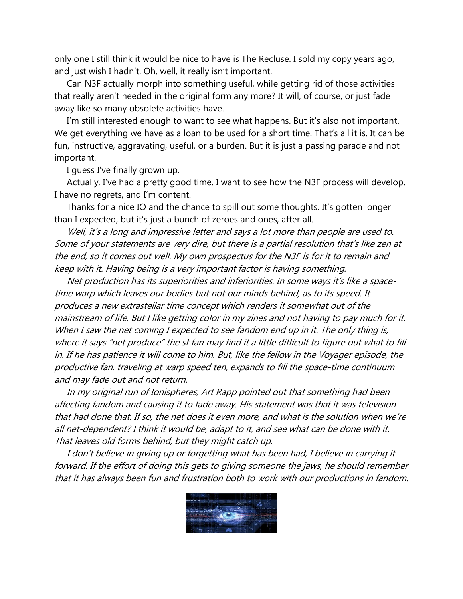only one I still think it would be nice to have is The Recluse. I sold my copy years ago, and just wish I hadn't. Oh, well, it really isn't important.

 Can N3F actually morph into something useful, while getting rid of those activities that really aren't needed in the original form any more? It will, of course, or just fade away like so many obsolete activities have.

 I'm still interested enough to want to see what happens. But it's also not important. We get everything we have as a loan to be used for a short time. That's all it is. It can be fun, instructive, aggravating, useful, or a burden. But it is just a passing parade and not important.

I guess I've finally grown up.

 Actually, I've had a pretty good time. I want to see how the N3F process will develop. I have no regrets, and I'm content.

 Thanks for a nice IO and the chance to spill out some thoughts. It's gotten longer than I expected, but it's just a bunch of zeroes and ones, after all.

 Well, it's a long and impressive letter and says a lot more than people are used to. Some of your statements are very dire, but there is a partial resolution that's like zen at the end, so it comes out well. My own prospectus for the N3F is for it to remain and keep with it. Having being is a very important factor is having something.

 Net production has its superiorities and inferiorities. In some ways it's like a spacetime warp which leaves our bodies but not our minds behind, as to its speed. It produces a new extrastellar time concept which renders it somewhat out of the mainstream of life. But I like getting color in my zines and not having to pay much for it. When I saw the net coming I expected to see fandom end up in it. The only thing is, where it says "net produce" the sf fan may find it a little difficult to figure out what to fill in. If he has patience it will come to him. But, like the fellow in the Voyager episode, the productive fan, traveling at warp speed ten, expands to fill the space-time continuum and may fade out and not return.

 In my original run of Ionispheres, Art Rapp pointed out that something had been affecting fandom and causing it to fade away. His statement was that it was television that had done that. If so, the net does it even more, and what is the solution when we're all net-dependent? I think it would be, adapt to it, and see what can be done with it. That leaves old forms behind, but they might catch up.

 I don't believe in giving up or forgetting what has been had, I believe in carrying it forward. If the effort of doing this gets to giving someone the jaws, he should remember that it has always been fun and frustration both to work with our productions in fandom.

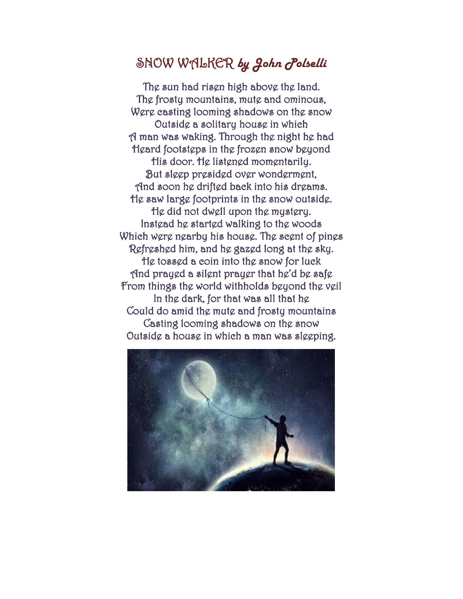## SNOW WALKER *by John Polselli*

The sun had risen high above the land. The frosty mountains, mute and ominous, Were casting looming shadows on the snow Outside a solitary house in which A man was waking. Through the night he had Heard footsteps in the frozen snow beyond His door. He listened momentarily. But sleep presided over wonderment, And soon he drifted back into his dreams. He saw large footprints in the snow outside. He did not dwell upon the mystery. Instead he started walking to the woods Which were nearby his house. The scent of pines Refreshed him, and he gazed long at the sky. He tossed a coin into the snow for luck And prayed a silent prayer that he'd be safe From things the world withholds beyond the veil In the dark, for that was all that he Could do amid the mute and frosty mountains Casting looming shadows on the snow Outside a house in which a man was sleeping.